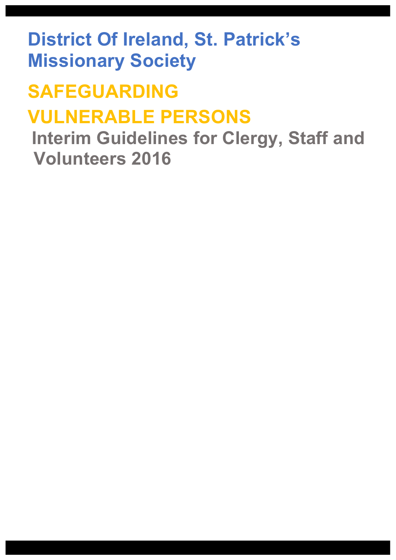**District Of Ireland, St. Patrick's Missionary Society**

# **SAFEGUARDING VULNERABLE PERSONS**

 **Interim Guidelines for Clergy, Staff and Volunteers 2016**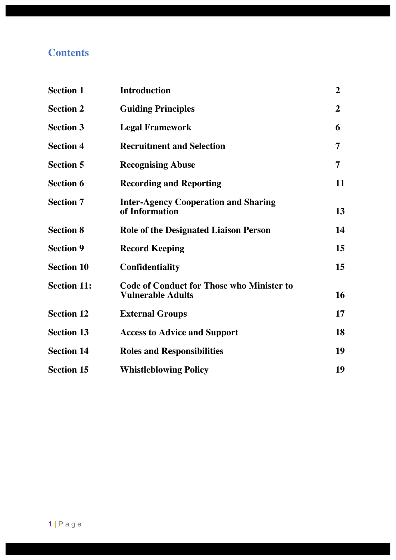## **Contents**

| <b>Section 1</b>   | <b>Introduction</b>                                                          | $\overline{2}$   |
|--------------------|------------------------------------------------------------------------------|------------------|
| <b>Section 2</b>   | <b>Guiding Principles</b>                                                    | $\boldsymbol{2}$ |
| <b>Section 3</b>   | <b>Legal Framework</b>                                                       | 6                |
| <b>Section 4</b>   | <b>Recruitment and Selection</b>                                             | 7                |
| <b>Section 5</b>   | <b>Recognising Abuse</b>                                                     | 7                |
| <b>Section 6</b>   | <b>Recording and Reporting</b>                                               | 11               |
| <b>Section 7</b>   | <b>Inter-Agency Cooperation and Sharing</b><br>of Information                | 13               |
| <b>Section 8</b>   | <b>Role of the Designated Liaison Person</b>                                 | 14               |
| <b>Section 9</b>   | <b>Record Keeping</b>                                                        | 15               |
| <b>Section 10</b>  | <b>Confidentiality</b>                                                       | 15               |
| <b>Section 11:</b> | <b>Code of Conduct for Those who Minister to</b><br><b>Vulnerable Adults</b> | 16               |
| <b>Section 12</b>  | <b>External Groups</b>                                                       | 17               |
| <b>Section 13</b>  | <b>Access to Advice and Support</b>                                          | 18               |
| <b>Section 14</b>  | <b>Roles and Responsibilities</b>                                            | 19               |
| <b>Section 15</b>  | <b>Whistleblowing Policy</b>                                                 | 19               |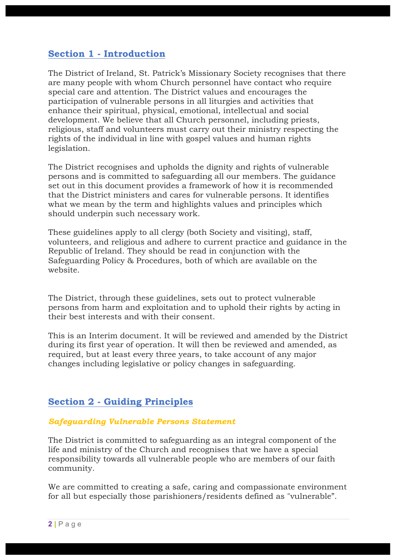## **Section 1 - Introduction**

The District of Ireland, St. Patrick's Missionary Society recognises that there are many people with whom Church personnel have contact who require special care and attention. The District values and encourages the participation of vulnerable persons in all liturgies and activities that enhance their spiritual, physical, emotional, intellectual and social development. We believe that all Church personnel, including priests, religious, staff and volunteers must carry out their ministry respecting the rights of the individual in line with gospel values and human rights legislation.

The District recognises and upholds the dignity and rights of vulnerable persons and is committed to safeguarding all our members. The guidance set out in this document provides a framework of how it is recommended that the District ministers and cares for vulnerable persons. It identifies what we mean by the term and highlights values and principles which should underpin such necessary work.

These guidelines apply to all clergy (both Society and visiting), staff, volunteers, and religious and adhere to current practice and guidance in the Republic of Ireland. They should be read in conjunction with the Safeguarding Policy & Procedures, both of which are available on the website.

The District, through these guidelines, sets out to protect vulnerable persons from harm and exploitation and to uphold their rights by acting in their best interests and with their consent.

This is an Interim document. It will be reviewed and amended by the District during its first year of operation. It will then be reviewed and amended, as required, but at least every three years, to take account of any major changes including legislative or policy changes in safeguarding.

## **Section 2 - Guiding Principles**

#### *Safeguarding Vulnerable Persons Statement*

The District is committed to safeguarding as an integral component of the life and ministry of the Church and recognises that we have a special responsibility towards all vulnerable people who are members of our faith community.

We are committed to creating a safe, caring and compassionate environment for all but especially those parishioners/residents defined as "vulnerable".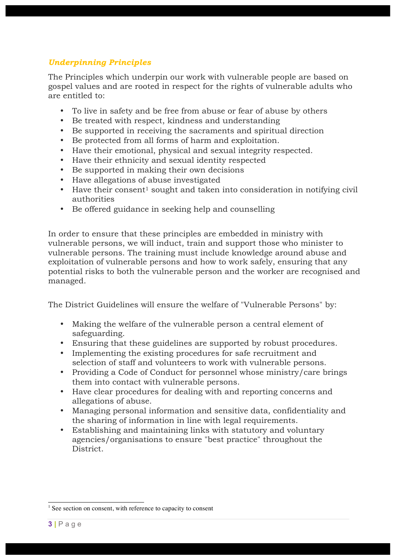## *Underpinning Principles*

The Principles which underpin our work with vulnerable people are based on gospel values and are rooted in respect for the rights of vulnerable adults who are entitled to:

- To live in safety and be free from abuse or fear of abuse by others
- Be treated with respect, kindness and understanding
- Be supported in receiving the sacraments and spiritual direction
- Be protected from all forms of harm and exploitation.
- Have their emotional, physical and sexual integrity respected.
- Have their ethnicity and sexual identity respected
- Be supported in making their own decisions
- Have allegations of abuse investigated
- $\bullet$  Have their consent<sup>1</sup> sought and taken into consideration in notifying civil authorities
- Be offered guidance in seeking help and counselling

In order to ensure that these principles are embedded in ministry with vulnerable persons, we will induct, train and support those who minister to vulnerable persons. The training must include knowledge around abuse and exploitation of vulnerable persons and how to work safely, ensuring that any potential risks to both the vulnerable person and the worker are recognised and managed.

The District Guidelines will ensure the welfare of "Vulnerable Persons" by:

- Making the welfare of the vulnerable person a central element of safeguarding.
- Ensuring that these guidelines are supported by robust procedures.
- Implementing the existing procedures for safe recruitment and selection of staff and volunteers to work with vulnerable persons.
- Providing a Code of Conduct for personnel whose ministry/care brings them into contact with vulnerable persons.
- Have clear procedures for dealing with and reporting concerns and allegations of abuse.
- Managing personal information and sensitive data, confidentiality and the sharing of information in line with legal requirements.
- Establishing and maintaining links with statutory and voluntary agencies/organisations to ensure "best practice" throughout the District.

<sup>&</sup>lt;sup>1</sup> See section on consent, with reference to capacity to consent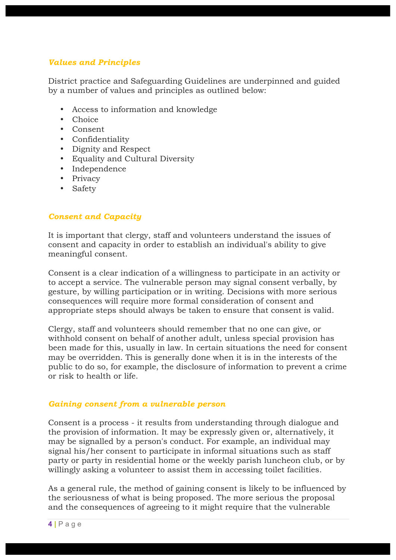#### *Values and Principles*

District practice and Safeguarding Guidelines are underpinned and guided by a number of values and principles as outlined below:

- Access to information and knowledge
- Choice
- Consent
- Confidentiality
- Dignity and Respect
- Equality and Cultural Diversity
- Independence
- Privacy
- Safety

#### *Consent and Capacity*

It is important that clergy, staff and volunteers understand the issues of consent and capacity in order to establish an individual's ability to give meaningful consent.

Consent is a clear indication of a willingness to participate in an activity or to accept a service. The vulnerable person may signal consent verbally, by gesture, by willing participation or in writing. Decisions with more serious consequences will require more formal consideration of consent and appropriate steps should always be taken to ensure that consent is valid.

Clergy, staff and volunteers should remember that no one can give, or withhold consent on behalf of another adult, unless special provision has been made for this, usually in law. In certain situations the need for consent may be overridden. This is generally done when it is in the interests of the public to do so, for example, the disclosure of information to prevent a crime or risk to health or life.

#### *Gaining consent from a vulnerable person*

Consent is a process - it results from understanding through dialogue and the provision of information. It may be expressly given or, alternatively, it may be signalled by a person's conduct. For example, an individual may signal his/her consent to participate in informal situations such as staff party or party in residential home or the weekly parish luncheon club, or by willingly asking a volunteer to assist them in accessing toilet facilities.

As a general rule, the method of gaining consent is likely to be influenced by the seriousness of what is being proposed. The more serious the proposal and the consequences of agreeing to it might require that the vulnerable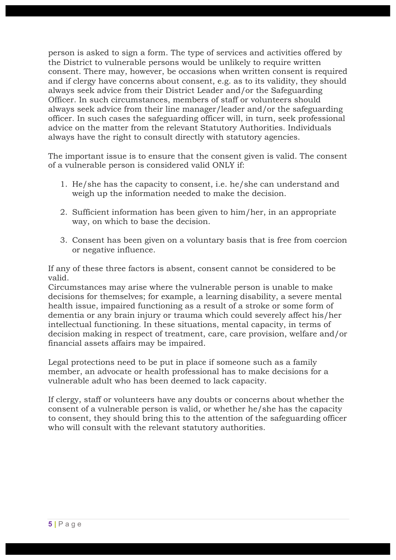person is asked to sign a form. The type of services and activities offered by the District to vulnerable persons would be unlikely to require written consent. There may, however, be occasions when written consent is required and if clergy have concerns about consent, e.g. as to its validity, they should always seek advice from their District Leader and/or the Safeguarding Officer. In such circumstances, members of staff or volunteers should always seek advice from their line manager/leader and/or the safeguarding officer. In such cases the safeguarding officer will, in turn, seek professional advice on the matter from the relevant Statutory Authorities. Individuals always have the right to consult directly with statutory agencies.

The important issue is to ensure that the consent given is valid. The consent of a vulnerable person is considered valid ONLY if:

- 1. He/she has the capacity to consent, i.e. he/she can understand and weigh up the information needed to make the decision.
- 2. Sufficient information has been given to him/her, in an appropriate way, on which to base the decision.
- 3. Consent has been given on a voluntary basis that is free from coercion or negative influence.

If any of these three factors is absent, consent cannot be considered to be valid.

Circumstances may arise where the vulnerable person is unable to make decisions for themselves; for example, a learning disability, a severe mental health issue, impaired functioning as a result of a stroke or some form of dementia or any brain injury or trauma which could severely affect his/her intellectual functioning. In these situations, mental capacity, in terms of decision making in respect of treatment, care, care provision, welfare and/or financial assets affairs may be impaired.

Legal protections need to be put in place if someone such as a family member, an advocate or health professional has to make decisions for a vulnerable adult who has been deemed to lack capacity.

If clergy, staff or volunteers have any doubts or concerns about whether the consent of a vulnerable person is valid, or whether he/she has the capacity to consent, they should bring this to the attention of the safeguarding officer who will consult with the relevant statutory authorities.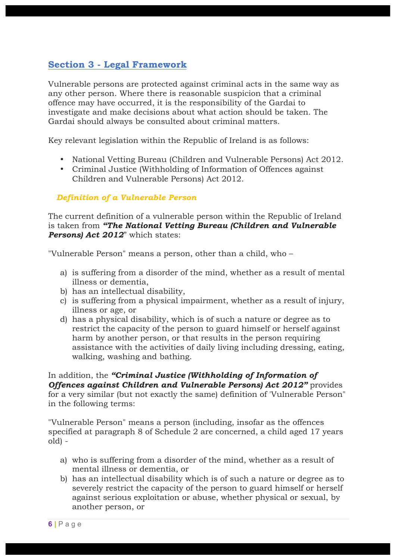## **Section 3 - Legal Framework**

Vulnerable persons are protected against criminal acts in the same way as any other person. Where there is reasonable suspicion that a criminal offence may have occurred, it is the responsibility of the Gardai to investigate and make decisions about what action should be taken. The Gardai should always be consulted about criminal matters.

Key relevant legislation within the Republic of Ireland is as follows:

- National Vetting Bureau (Children and Vulnerable Persons) Act 2012.
- Criminal Justice (Withholding of Information of Offences against Children and Vulnerable Persons) Act 2012.

#### *Definition of a Vulnerable Person*

The current definition of a vulnerable person within the Republic of Ireland is taken from *"The National Vetting Bureau (Children and Vulnerable Persons) Act 2012*" which states:

"Vulnerable Person" means a person, other than a child, who –

- a) is suffering from a disorder of the mind, whether as a result of mental illness or dementia,
- b) has an intellectual disability,
- c) is suffering from a physical impairment, whether as a result of injury, illness or age, or
- d) has a physical disability, which is of such a nature or degree as to restrict the capacity of the person to guard himself or herself against harm by another person, or that results in the person requiring assistance with the activities of daily living including dressing, eating, walking, washing and bathing.

In addition, the *"Criminal Justice (Withholding of Information of Offences against Children and Vulnerable Persons) Act 2012"* provides for a very similar (but not exactly the same) definition of 'Vulnerable Person" in the following terms:

"Vulnerable Person" means a person (including, insofar as the offences specified at paragraph 8 of Schedule 2 are concerned, a child aged 17 years old) -

- a) who is suffering from a disorder of the mind, whether as a result of mental illness or dementia, or
- b) has an intellectual disability which is of such a nature or degree as to severely restrict the capacity of the person to guard himself or herself against serious exploitation or abuse, whether physical or sexual, by another person, or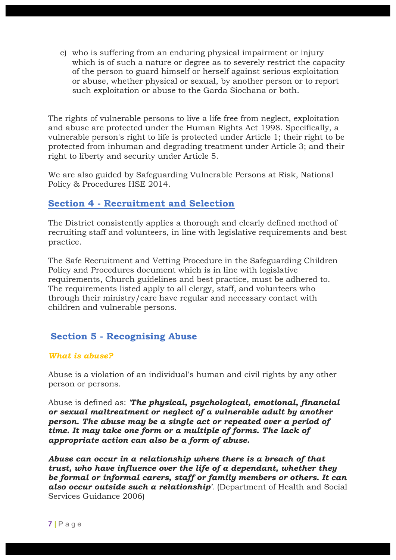c) who is suffering from an enduring physical impairment or injury which is of such a nature or degree as to severely restrict the capacity of the person to guard himself or herself against serious exploitation or abuse, whether physical or sexual, by another person or to report such exploitation or abuse to the Garda Siochana or both.

The rights of vulnerable persons to live a life free from neglect, exploitation and abuse are protected under the Human Rights Act 1998. Specifically, a vulnerable person's right to life is protected under Article 1; their right to be protected from inhuman and degrading treatment under Article 3; and their right to liberty and security under Article 5.

We are also guided by Safeguarding Vulnerable Persons at Risk, National Policy & Procedures HSE 2014.

## **Section 4 - Recruitment and Selection**

The District consistently applies a thorough and clearly defined method of recruiting staff and volunteers, in line with legislative requirements and best practice.

The Safe Recruitment and Vetting Procedure in the Safeguarding Children Policy and Procedures document which is in line with legislative requirements, Church guidelines and best practice, must be adhered to. The requirements listed apply to all clergy, staff, and volunteers who through their ministry/care have regular and necessary contact with children and vulnerable persons.

## **Section 5 - Recognising Abuse**

#### *What is abuse?*

Abuse is a violation of an individual's human and civil rights by any other person or persons.

Abuse is defined as: *'The physical, psychological, emotional, financial or sexual maltreatment or neglect of a vulnerable adult by another person. The abuse may be a single act or repeated over a period of time. It may take one form or a multiple of forms. The lack of appropriate action can also be a form of abuse.*

*Abuse can occur in a relationship where there is a breach of that trust, who have influence over the life of a dependant, whether they be formal or informal carers, staff or family members or others. It can also occur outside such a relationship'*. (Department of Health and Social Services Guidance 2006)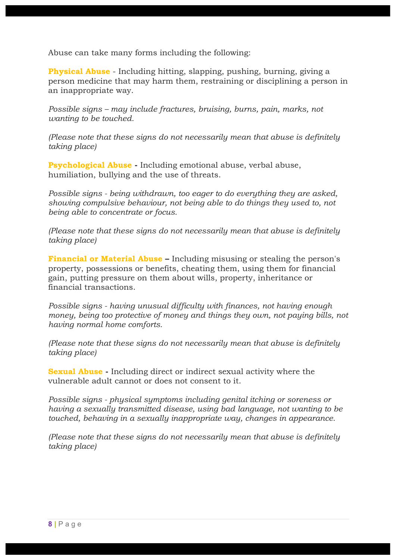Abuse can take many forms including the following:

**Physical Abuse** - Including hitting, slapping, pushing, burning, giving a person medicine that may harm them, restraining or disciplining a person in an inappropriate way.

*Possible signs – may include fractures, bruising, burns, pain, marks, not wanting to be touched.*

*(Please note that these signs do not necessarily mean that abuse is definitely taking place)*

**Psychological Abuse -** Including emotional abuse, verbal abuse, humiliation, bullying and the use of threats.

*Possible signs - being withdrawn, too eager to do everything they are asked, showing compulsive behaviour, not being able to do things they used to, not being able to concentrate or focus.*

*(Please note that these signs do not necessarily mean that abuse is definitely taking place)*

**Financial or Material Abuse –** Including misusing or stealing the person's property, possessions or benefits, cheating them, using them for financial gain, putting pressure on them about wills, property, inheritance or financial transactions.

*Possible signs - having unusual difficulty with finances, not having enough money, being too protective of money and things they own, not paying bills, not having normal home comforts.*

*(Please note that these signs do not necessarily mean that abuse is definitely taking place)*

**Sexual Abuse -** Including direct or indirect sexual activity where the vulnerable adult cannot or does not consent to it.

*Possible signs - physical symptoms including genital itching or soreness or having a sexually transmitted disease, using bad language, not wanting to be touched, behaving in a sexually inappropriate way, changes in appearance.*

*(Please note that these signs do not necessarily mean that abuse is definitely taking place)*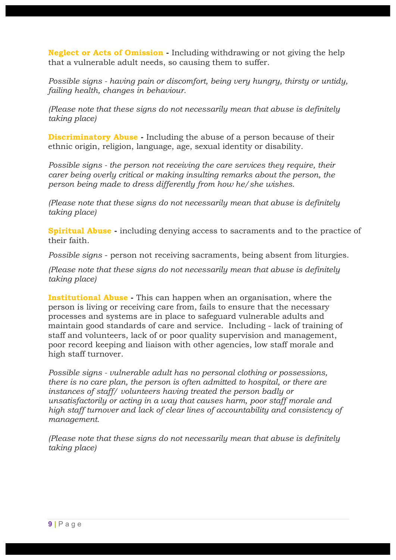**Neglect or Acts of Omission -** Including withdrawing or not giving the help that a vulnerable adult needs, so causing them to suffer.

*Possible signs - having pain or discomfort, being very hungry, thirsty or untidy, failing health, changes in behaviour.*

*(Please note that these signs do not necessarily mean that abuse is definitely taking place)*

**Discriminatory Abuse -** Including the abuse of a person because of their ethnic origin, religion, language, age, sexual identity or disability.

*Possible signs - the person not receiving the care services they require, their carer being overly critical or making insulting remarks about the person, the person being made to dress differently from how he/she wishes.*

*(Please note that these signs do not necessarily mean that abuse is definitely taking place)*

**Spiritual Abuse -** including denying access to sacraments and to the practice of their faith.

*Possible signs* - person not receiving sacraments, being absent from liturgies.

*(Please note that these signs do not necessarily mean that abuse is definitely taking place)*

**Institutional Abuse -** This can happen when an organisation, where the person is living or receiving care from, fails to ensure that the necessary processes and systems are in place to safeguard vulnerable adults and maintain good standards of care and service. Including - lack of training of staff and volunteers, lack of or poor quality supervision and management, poor record keeping and liaison with other agencies, low staff morale and high staff turnover.

*Possible signs - vulnerable adult has no personal clothing or possessions, there is no care plan, the person is often admitted to hospital, or there are instances of staff/ volunteers having treated the person badly or unsatisfactorily or acting in a way that causes harm, poor staff morale and high staff turnover and lack of clear lines of accountability and consistency of management.*

*(Please note that these signs do not necessarily mean that abuse is definitely taking place)*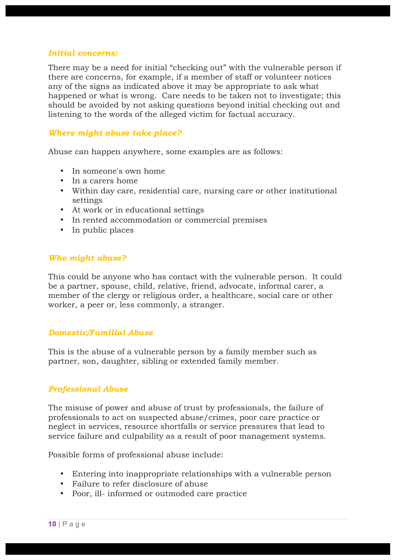#### *Initial concerns:*

There may be a need for initial "checking out" with the vulnerable person if there are concerns, for example, if a member of staff or volunteer notices any of the signs as indicated above it may be appropriate to ask what happened or what is wrong. Care needs to be taken not to investigate; this should be avoided by not asking questions beyond initial checking out and listening to the words of the alleged victim for factual accuracy.

#### *Where might abuse take place?*

Abuse can happen anywhere, some examples are as follows:

- In someone's own home
- In a carers home
- Within day care, residential care, nursing care or other institutional settings
- At work or in educational settings
- In rented accommodation or commercial premises
- In public places

#### *Who might abuse?*

This could be anyone who has contact with the vulnerable person. It could be a partner, spouse, child, relative, friend, advocate, informal carer, a member of the clergy or religious order, a healthcare, social care or other worker, a peer or, less commonly, a stranger.

#### *Domestic/Familial Abuse*

This is the abuse of a vulnerable person by a family member such as partner, son, daughter, sibling or extended family member.

#### *Professional Abuse*

The misuse of power and abuse of trust by professionals, the failure of professionals to act on suspected abuse/crimes, poor care practice or neglect in services, resource shortfalls or service pressures that lead to service failure and culpability as a result of poor management systems.

Possible forms of professional abuse include:

- Entering into inappropriate relationships with a vulnerable person
- Failure to refer disclosure of abuse
- Poor, ill- informed or outmoded care practice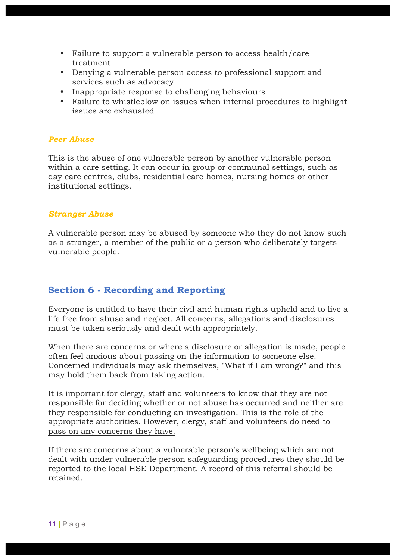- Failure to support a vulnerable person to access health/care treatment
- Denying a vulnerable person access to professional support and services such as advocacy
- Inappropriate response to challenging behaviours
- Failure to whistleblow on issues when internal procedures to highlight issues are exhausted

#### *Peer Abuse*

This is the abuse of one vulnerable person by another vulnerable person within a care setting. It can occur in group or communal settings, such as day care centres, clubs, residential care homes, nursing homes or other institutional settings.

#### *Stranger Abuse*

A vulnerable person may be abused by someone who they do not know such as a stranger, a member of the public or a person who deliberately targets vulnerable people.

## **Section 6 - Recording and Reporting**

Everyone is entitled to have their civil and human rights upheld and to live a life free from abuse and neglect. All concerns, allegations and disclosures must be taken seriously and dealt with appropriately.

When there are concerns or where a disclosure or allegation is made, people often feel anxious about passing on the information to someone else. Concerned individuals may ask themselves, "What if I am wrong?" and this may hold them back from taking action.

It is important for clergy, staff and volunteers to know that they are not responsible for deciding whether or not abuse has occurred and neither are they responsible for conducting an investigation. This is the role of the appropriate authorities. However, clergy, staff and volunteers do need to pass on any concerns they have.

If there are concerns about a vulnerable person's wellbeing which are not dealt with under vulnerable person safeguarding procedures they should be reported to the local HSE Department. A record of this referral should be retained.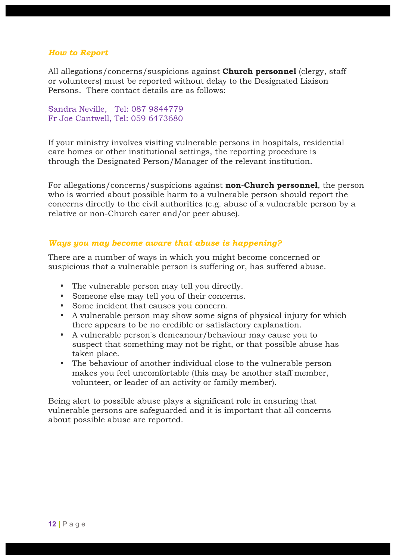#### *How to Report*

All allegations/concerns/suspicions against **Church personnel** (clergy, staff or volunteers) must be reported without delay to the Designated Liaison Persons. There contact details are as follows:

Sandra Neville, Tel: 087 9844779 Fr Joe Cantwell, Tel: 059 6473680

If your ministry involves visiting vulnerable persons in hospitals, residential care homes or other institutional settings, the reporting procedure is through the Designated Person/Manager of the relevant institution.

For allegations/concerns/suspicions against **non-Church personnel**, the person who is worried about possible harm to a vulnerable person should report the concerns directly to the civil authorities (e.g. abuse of a vulnerable person by a relative or non-Church carer and/or peer abuse).

#### *Ways you may become aware that abuse is happening?*

There are a number of ways in which you might become concerned or suspicious that a vulnerable person is suffering or, has suffered abuse.

- The vulnerable person may tell you directly.
- Someone else may tell you of their concerns.
- Some incident that causes you concern.
- A vulnerable person may show some signs of physical injury for which there appears to be no credible or satisfactory explanation.
- A vulnerable person's demeanour/behaviour may cause you to suspect that something may not be right, or that possible abuse has taken place.
- The behaviour of another individual close to the vulnerable person makes you feel uncomfortable (this may be another staff member, volunteer, or leader of an activity or family member).

Being alert to possible abuse plays a significant role in ensuring that vulnerable persons are safeguarded and it is important that all concerns about possible abuse are reported.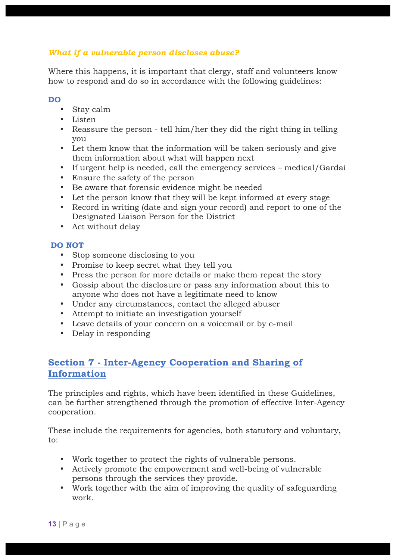## *What if a vulnerable person discloses abuse?*

Where this happens, it is important that clergy, staff and volunteers know how to respond and do so in accordance with the following guidelines:

#### **DO**

- Stay calm
- Listen
- Reassure the person tell him/her they did the right thing in telling you
- Let them know that the information will be taken seriously and give them information about what will happen next
- If urgent help is needed, call the emergency services medical/Gardaí
- Ensure the safety of the person
- Be aware that forensic evidence might be needed
- Let the person know that they will be kept informed at every stage
- Record in writing (date and sign your record) and report to one of the Designated Liaison Person for the District
- Act without delay

#### **DO NOT**

- Stop someone disclosing to you
- Promise to keep secret what they tell you
- Press the person for more details or make them repeat the story
- Gossip about the disclosure or pass any information about this to anyone who does not have a legitimate need to know
- Under any circumstances, contact the alleged abuser
- Attempt to initiate an investigation yourself
- Leave details of your concern on a voicemail or by e-mail
- Delay in responding

## **Section 7 - Inter-Agency Cooperation and Sharing of Information**

The principles and rights, which have been identified in these Guidelines, can be further strengthened through the promotion of effective Inter-Agency cooperation.

These include the requirements for agencies, both statutory and voluntary, to:

- Work together to protect the rights of vulnerable persons.
- Actively promote the empowerment and well-being of vulnerable persons through the services they provide.
- Work together with the aim of improving the quality of safeguarding work.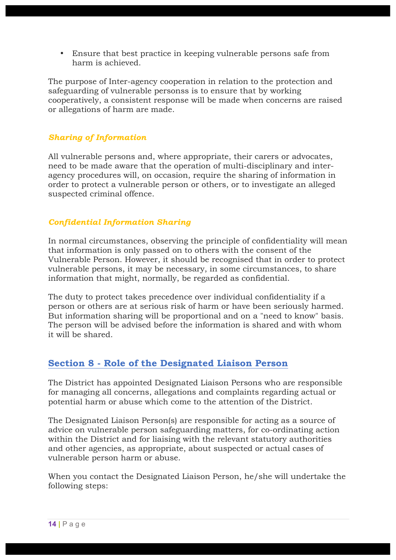• Ensure that best practice in keeping vulnerable persons safe from harm is achieved.

The purpose of Inter-agency cooperation in relation to the protection and safeguarding of vulnerable personss is to ensure that by working cooperatively, a consistent response will be made when concerns are raised or allegations of harm are made.

#### *Sharing of Information*

All vulnerable persons and, where appropriate, their carers or advocates, need to be made aware that the operation of multi-disciplinary and interagency procedures will, on occasion, require the sharing of information in order to protect a vulnerable person or others, or to investigate an alleged suspected criminal offence.

#### *Confidential Information Sharing*

In normal circumstances, observing the principle of confidentiality will mean that information is only passed on to others with the consent of the Vulnerable Person. However, it should be recognised that in order to protect vulnerable persons, it may be necessary, in some circumstances, to share information that might, normally, be regarded as confidential.

The duty to protect takes precedence over individual confidentiality if a person or others are at serious risk of harm or have been seriously harmed. But information sharing will be proportional and on a "need to know" basis. The person will be advised before the information is shared and with whom it will be shared.

## **Section 8 - Role of the Designated Liaison Person**

The District has appointed Designated Liaison Persons who are responsible for managing all concerns, allegations and complaints regarding actual or potential harm or abuse which come to the attention of the District.

The Designated Liaison Person(s) are responsible for acting as a source of advice on vulnerable person safeguarding matters, for co-ordinating action within the District and for liaising with the relevant statutory authorities and other agencies, as appropriate, about suspected or actual cases of vulnerable person harm or abuse.

When you contact the Designated Liaison Person, he/she will undertake the following steps: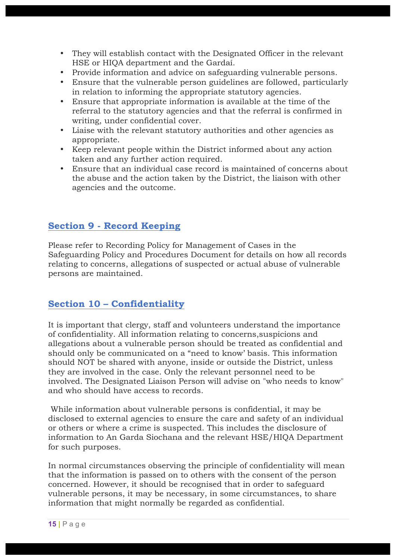- They will establish contact with the Designated Officer in the relevant HSE or HIQA department and the Gardaí.
- Provide information and advice on safeguarding vulnerable persons.
- Ensure that the vulnerable person guidelines are followed, particularly in relation to informing the appropriate statutory agencies.
- Ensure that appropriate information is available at the time of the referral to the statutory agencies and that the referral is confirmed in writing, under confidential cover.
- Liaise with the relevant statutory authorities and other agencies as appropriate.
- Keep relevant people within the District informed about any action taken and any further action required.
- Ensure that an individual case record is maintained of concerns about the abuse and the action taken by the District, the liaison with other agencies and the outcome.

## **Section 9 - Record Keeping**

Please refer to Recording Policy for Management of Cases in the Safeguarding Policy and Procedures Document for details on how all records relating to concerns, allegations of suspected or actual abuse of vulnerable persons are maintained.

## **Section 10 – Confidentiality**

It is important that clergy, staff and volunteers understand the importance of confidentiality. All information relating to concerns,suspicions and allegations about a vulnerable person should be treated as confidential and should only be communicated on a "need to know' basis. This information should NOT be shared with anyone, inside or outside the District, unless they are involved in the case. Only the relevant personnel need to be involved. The Designated Liaison Person will advise on "who needs to know" and who should have access to records.

While information about vulnerable persons is confidential, it may be disclosed to external agencies to ensure the care and safety of an individual or others or where a crime is suspected. This includes the disclosure of information to An Garda Siochana and the relevant HSE/HIQA Department for such purposes.

In normal circumstances observing the principle of confidentiality will mean that the information is passed on to others with the consent of the person concerned. However, it should be recognised that in order to safeguard vulnerable persons, it may be necessary, in some circumstances, to share information that might normally be regarded as confidential.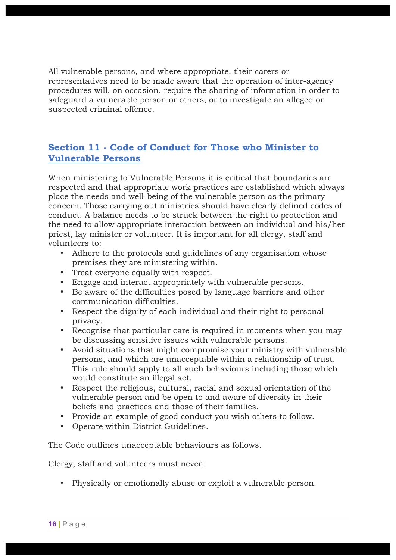All vulnerable persons, and where appropriate, their carers or representatives need to be made aware that the operation of inter-agency procedures will, on occasion, require the sharing of information in order to safeguard a vulnerable person or others, or to investigate an alleged or suspected criminal offence.

## **Section 11 - Code of Conduct for Those who Minister to Vulnerable Persons**

When ministering to Vulnerable Persons it is critical that boundaries are respected and that appropriate work practices are established which always place the needs and well-being of the vulnerable person as the primary concern. Those carrying out ministries should have clearly defined codes of conduct. A balance needs to be struck between the right to protection and the need to allow appropriate interaction between an individual and his/her priest, lay minister or volunteer. It is important for all clergy, staff and volunteers to:

- Adhere to the protocols and guidelines of any organisation whose premises they are ministering within.
- Treat everyone equally with respect.
- Engage and interact appropriately with vulnerable persons.
- Be aware of the difficulties posed by language barriers and other communication difficulties.
- Respect the dignity of each individual and their right to personal privacy.
- Recognise that particular care is required in moments when you may be discussing sensitive issues with vulnerable persons.
- Avoid situations that might compromise your ministry with vulnerable persons, and which are unacceptable within a relationship of trust. This rule should apply to all such behaviours including those which would constitute an illegal act.
- Respect the religious, cultural, racial and sexual orientation of the vulnerable person and be open to and aware of diversity in their beliefs and practices and those of their families.
- Provide an example of good conduct you wish others to follow.
- Operate within District Guidelines.

The Code outlines unacceptable behaviours as follows.

Clergy, staff and volunteers must never:

• Physically or emotionally abuse or exploit a vulnerable person.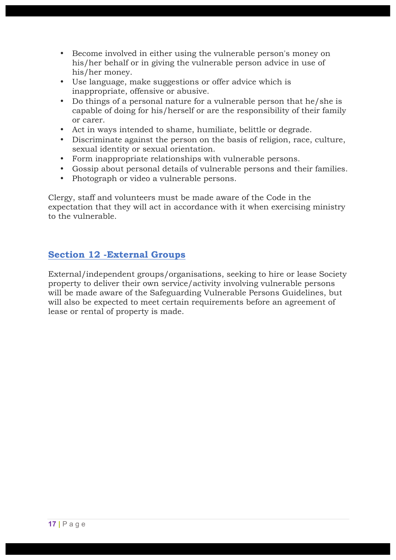- Become involved in either using the vulnerable person's money on his/her behalf or in giving the vulnerable person advice in use of his/her money.
- Use language, make suggestions or offer advice which is inappropriate, offensive or abusive.
- Do things of a personal nature for a vulnerable person that he/she is capable of doing for his/herself or are the responsibility of their family or carer.
- Act in ways intended to shame, humiliate, belittle or degrade.
- Discriminate against the person on the basis of religion, race, culture, sexual identity or sexual orientation.
- Form inappropriate relationships with vulnerable persons.
- Gossip about personal details of vulnerable persons and their families.
- Photograph or video a vulnerable persons.

Clergy, staff and volunteers must be made aware of the Code in the expectation that they will act in accordance with it when exercising ministry to the vulnerable.

## **Section 12 -External Groups**

External/independent groups/organisations, seeking to hire or lease Society property to deliver their own service/activity involving vulnerable persons will be made aware of the Safeguarding Vulnerable Persons Guidelines, but will also be expected to meet certain requirements before an agreement of lease or rental of property is made.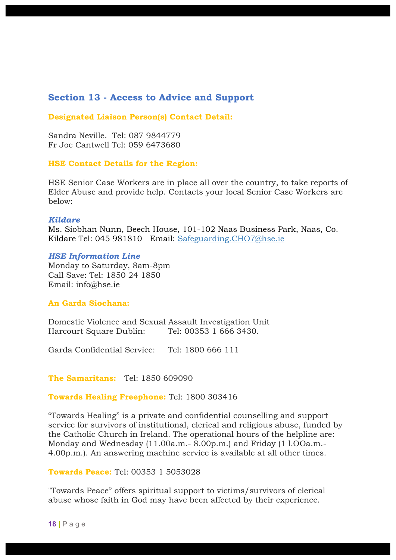## **Section 13 - Access to Advice and Support**

**Designated Liaison Person(s) Contact Detail:**

Sandra Neville. Tel: 087 9844779 Fr Joe Cantwell Tel: 059 6473680

#### **HSE Contact Details for the Region:**

HSE Senior Case Workers are in place all over the country, to take reports of Elder Abuse and provide help. Contacts your local Senior Case Workers are below:

#### *Kildare*

Ms. Siobhan Nunn, Beech House, 101-102 Naas Business Park, Naas, Co. Kildare Tel: 045 981810 Email: [Safeguarding.CHO7@hse.ie](mailto:Safeguarding.CHO7@hse.ie)

#### *HSE Information Line*

Monday to Saturday, 8am-8pm Call Save: Tel: 1850 24 1850 Email: info@hse.ie

#### **An Garda Siochana:**

Domestic Violence and Sexual Assault Investigation Unit Harcourt Square Dublin: Tel: 00353 1 666 3430.

Garda Confidential Service: Tel: 1800 666 111

**The Samaritans:** Tel: 1850 609090

**Towards Healing Freephone:** Tel: 1800 303416

"Towards Healing" is a private and confidential counselling and support service for survivors of institutional, clerical and religious abuse, funded by the Catholic Church in Ireland. The operational hours of the helpline are: Monday and Wednesday (11.00a.m.- 8.00p.m.) and Friday (1 l.OOa.m.- 4.00p.m.). An answering machine service is available at all other times.

#### **Towards Peace:** Tel: 00353 1 5053028

"Towards Peace" offers spiritual support to victims/survivors of clerical abuse whose faith in God may have been affected by their experience.